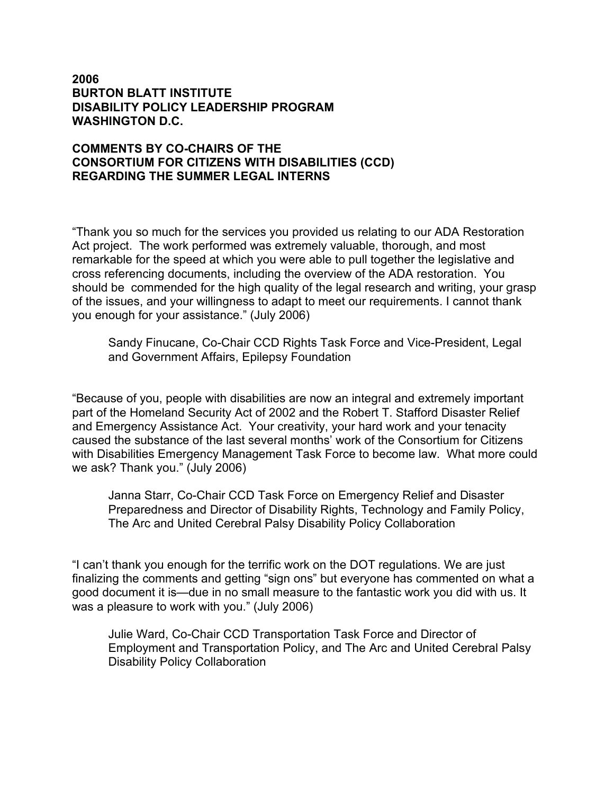## **2006 BURTON BLATT INSTITUTE DISABILITY POLICY LEADERSHIP PROGRAM WASHINGTON D.C.**

## **COMMENTS BY CO-CHAIRS OF THE CONSORTIUM FOR CITIZENS WITH DISABILITIES (CCD) REGARDING THE SUMMER LEGAL INTERNS**

"Thank you so much for the services you provided us relating to our ADA Restoration Act project. The work performed was extremely valuable, thorough, and most remarkable for the speed at which you were able to pull together the legislative and cross referencing documents, including the overview of the ADA restoration. You should be commended for the high quality of the legal research and writing, your grasp of the issues, and your willingness to adapt to meet our requirements. I cannot thank you enough for your assistance." (July 2006)

Sandy Finucane, Co-Chair CCD Rights Task Force and Vice-President, Legal and Government Affairs, Epilepsy Foundation

"Because of you, people with disabilities are now an integral and extremely important part of the Homeland Security Act of 2002 and the Robert T. Stafford Disaster Relief and Emergency Assistance Act. Your creativity, your hard work and your tenacity caused the substance of the last several months' work of the Consortium for Citizens with Disabilities Emergency Management Task Force to become law. What more could we ask? Thank you." (July 2006)

Janna Starr, Co-Chair CCD Task Force on Emergency Relief and Disaster Preparedness and Director of Disability Rights, Technology and Family Policy, The Arc and United Cerebral Palsy Disability Policy Collaboration

"I can't thank you enough for the terrific work on the DOT regulations. We are just finalizing the comments and getting "sign ons" but everyone has commented on what a good document it is—due in no small measure to the fantastic work you did with us. It was a pleasure to work with you." (July 2006)

Julie Ward, Co-Chair CCD Transportation Task Force and Director of Employment and Transportation Policy, and The Arc and United Cerebral Palsy Disability Policy Collaboration